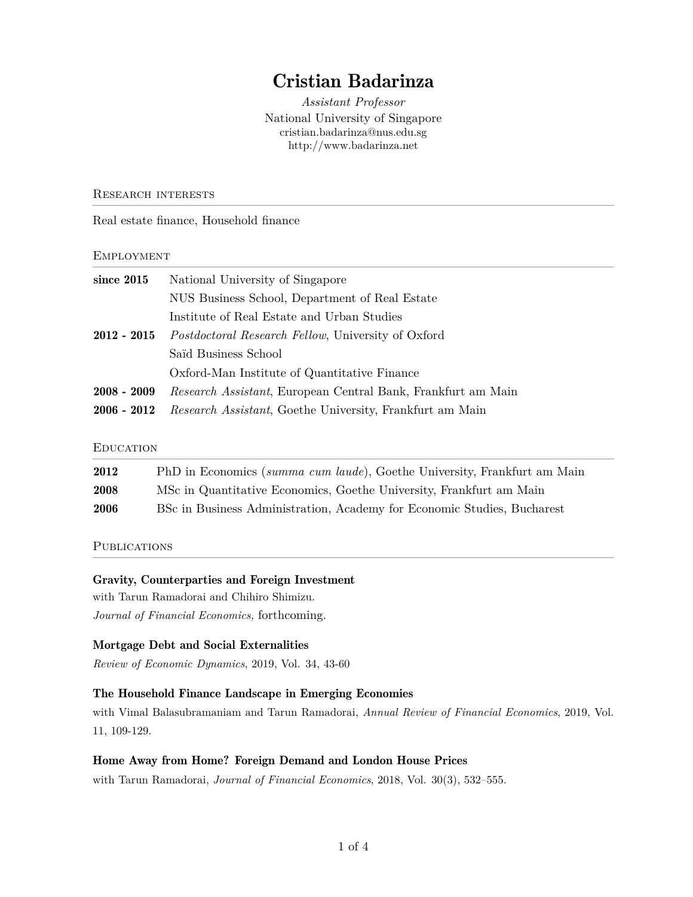# Cristian Badarinza

*Assistant Professor* National University of Singapore cristian.badarinza@nus.edu.sg http://www.badarinza.net

#### Research interests

Real estate finance, Household finance

#### **EMPLOYMENT**

| since $2015$  | National University of Singapore                                 |  |
|---------------|------------------------------------------------------------------|--|
|               | NUS Business School, Department of Real Estate                   |  |
|               | Institute of Real Estate and Urban Studies                       |  |
| $2012 - 2015$ | <i>Postdoctoral Research Fellow, University of Oxford</i>        |  |
|               | Saïd Business School                                             |  |
|               | Oxford-Man Institute of Quantitative Finance                     |  |
| $2008 - 2009$ | Research Assistant, European Central Bank, Frankfurt am Main     |  |
| $2006 - 2012$ | <i>Research Assistant</i> , Goethe University, Frankfurt am Main |  |

#### **EDUCATION**

| 2012 | PhD in Economics (summa cum laude), Goethe University, Frankfurt am Main |
|------|--------------------------------------------------------------------------|
| 2008 | MSc in Quantitative Economics, Goethe University, Frankfurt am Main      |
| 2006 | BSc in Business Administration, Academy for Economic Studies, Bucharest  |

#### **PUBLICATIONS**

#### Gravity, Counterparties and Foreign Investment

with Tarun Ramadorai and Chihiro Shimizu. *Journal of Financial Economics,* forthcoming.

#### Mortgage Debt and Social Externalities

*Review of Economic Dynamics*, 2019, Vol. 34, 43-60

#### The Household Finance Landscape in Emerging Economies

with Vimal Balasubramaniam and Tarun Ramadorai, *Annual Review of Financial Economics*, 2019, Vol. 11, 109-129.

#### Home Away from Home? Foreign Demand and London House Prices

with Tarun Ramadorai, *Journal of Financial Economics*, 2018, Vol. 30(3), 532–555.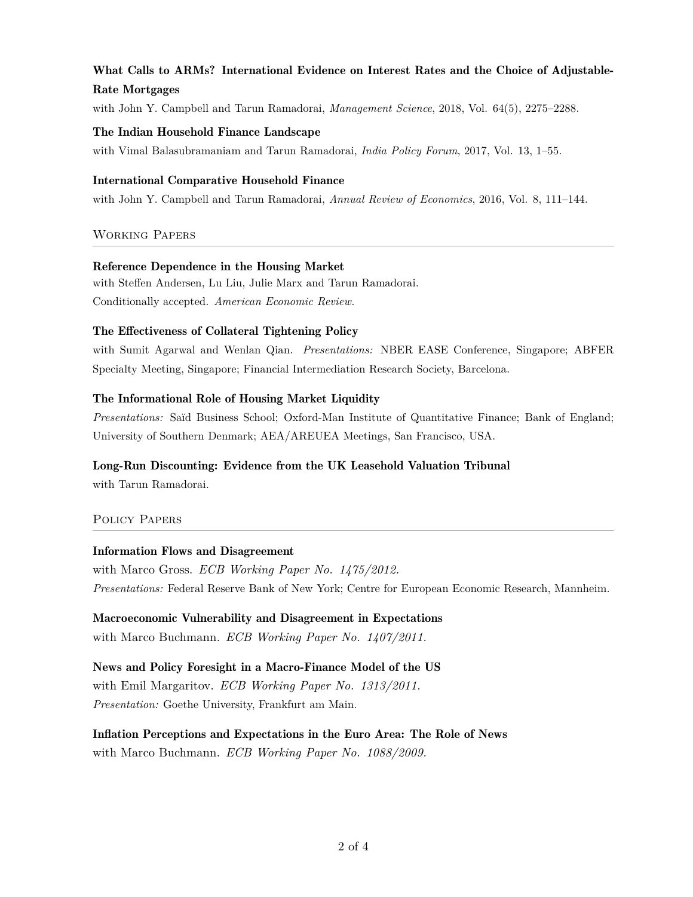## What Calls to ARMs? International Evidence on Interest Rates and the Choice of Adjustable-Rate Mortgages

with John Y. Campbell and Tarun Ramadorai, *Management Science*, 2018, Vol. 64(5), 2275–2288.

#### The Indian Household Finance Landscape

with Vimal Balasubramaniam and Tarun Ramadorai, *India Policy Forum*, 2017, Vol. 13, 1–55.

#### International Comparative Household Finance

with John Y. Campbell and Tarun Ramadorai, *Annual Review of Economics*, 2016, Vol. 8, 111–144.

## Working Papers

#### Reference Dependence in the Housing Market

with Steffen Andersen, Lu Liu, Julie Marx and Tarun Ramadorai. Conditionally accepted. *American Economic Review.*

## The Effectiveness of Collateral Tightening Policy

with Sumit Agarwal and Wenlan Qian. *Presentations:* NBER EASE Conference, Singapore; ABFER Specialty Meeting, Singapore; Financial Intermediation Research Society, Barcelona.

## The Informational Role of Housing Market Liquidity

*Presentations:* Saïd Business School; Oxford-Man Institute of Quantitative Finance; Bank of England; University of Southern Denmark; AEA/AREUEA Meetings, San Francisco, USA.

## Long-Run Discounting: Evidence from the UK Leasehold Valuation Tribunal

with Tarun Ramadorai.

## Policy Papers

## Information Flows and Disagreement

with Marco Gross. *ECB Working Paper No. 1475/2012. Presentations:* Federal Reserve Bank of New York; Centre for European Economic Research, Mannheim.

Macroeconomic Vulnerability and Disagreement in Expectations with Marco Buchmann. *ECB Working Paper No. 1407/2011.*

News and Policy Foresight in a Macro-Finance Model of the US with Emil Margaritov. *ECB Working Paper No. 1313/2011. Presentation:* Goethe University, Frankfurt am Main.

Inflation Perceptions and Expectations in the Euro Area: The Role of News with Marco Buchmann. *ECB Working Paper No. 1088/2009.*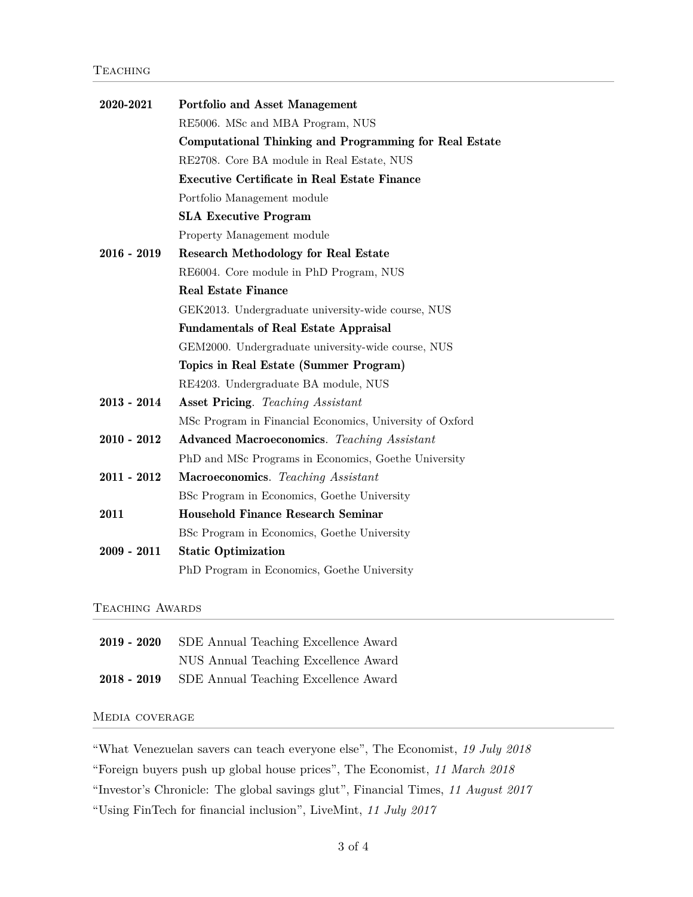| 2020-2021     | <b>Portfolio and Asset Management</b>                    |
|---------------|----------------------------------------------------------|
|               | RE5006. MSc and MBA Program, NUS                         |
|               | Computational Thinking and Programming for Real Estate   |
|               | RE2708. Core BA module in Real Estate, NUS               |
|               | <b>Executive Certificate in Real Estate Finance</b>      |
|               | Portfolio Management module                              |
|               | <b>SLA Executive Program</b>                             |
|               | Property Management module                               |
| $2016 - 2019$ | <b>Research Methodology for Real Estate</b>              |
|               | RE6004. Core module in PhD Program, NUS                  |
|               | <b>Real Estate Finance</b>                               |
|               | GEK2013. Undergraduate university-wide course, NUS       |
|               | <b>Fundamentals of Real Estate Appraisal</b>             |
|               | GEM2000. Undergraduate university-wide course, NUS       |
|               | Topics in Real Estate (Summer Program)                   |
|               | RE4203. Undergraduate BA module, NUS                     |
| $2013 - 2014$ | <b>Asset Pricing.</b> Teaching Assistant                 |
|               | MSc Program in Financial Economics, University of Oxford |
| $2010 - 2012$ | <b>Advanced Macroeconomics.</b> Teaching Assistant       |
|               | PhD and MSc Programs in Economics, Goethe University     |
| $2011 - 2012$ | <b>Macroeconomics.</b> Teaching Assistant                |
|               | BSc Program in Economics, Goethe University              |
| 2011          | <b>Household Finance Research Seminar</b>                |
|               | BSc Program in Economics, Goethe University              |
| $2009 - 2011$ | <b>Static Optimization</b>                               |
|               | PhD Program in Economics, Goethe University              |

## TEACHING AWARDS

| $2019 - 2020$ | SDE Annual Teaching Excellence Award             |
|---------------|--------------------------------------------------|
|               | NUS Annual Teaching Excellence Award             |
|               | 2018 - 2019 SDE Annual Teaching Excellence Award |

#### Media coverage

"What Venezuelan savers can teach everyone else", The Economist, *19 July 2018*

"Foreign buyers push up global house prices", The Economist, *11 March 2018*

"Investor's Chronicle: The global savings glut", Financial Times, *11 August 2017*

"Using FinTech for financial inclusion", LiveMint, *11 July 2017*